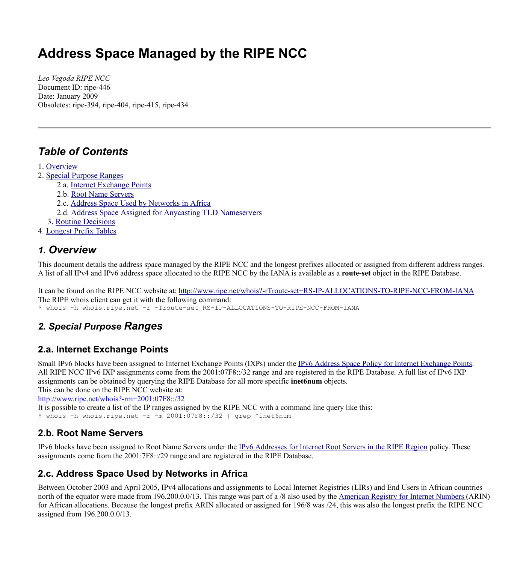# **Address Space Managed by the RIPE NCC**

*Leo Vegoda RIPE NCC* Document ID: ripe-446 Date: January 2009 Obsoletes: ripe-394, ripe-404, ripe-415, ripe-434

### *Table of Contents*

<span id="page-0-7"></span>1. [Overview](#page-0-7)

- 2. Special [Purpose](#page-0-6) Ranges
- <span id="page-0-5"></span><span id="page-0-4"></span><span id="page-0-3"></span><span id="page-0-2"></span>2.a. Internet [Exchange](#page-0-5) Points
	- 2.b. Root Name [Servers](#page-0-4)
	- 2.c. Address Space Used by [Networks](#page-0-3) in Africa
	- 2.d. Address Space Assigned for Anycasting TLD [Nameservers](#page-0-2)
- <span id="page-0-1"></span><span id="page-0-0"></span>3. Routing [Decisions](#page-0-1)
- 4. [Longest](#page-0-0) Prefix Tables

#### *1. Overview*

This document details the address space managed by the RIPE NCC and the longest prefixes allocated or assigned from different address ranges. A list of all IPv4 and IPv6 address space allocated to the RIPE NCC by the IANA is available as a **route-set** object in the RIPE Database.

It can be found on the RIPE NCC website at: <http://www.ripe.net/whois?-rTroute-set+RS-IP-ALLOCATIONS-TO-RIPE-NCC-FROM-IANA> The RIPE whois client can get it with the following command: \$ whois -h whois.ripe.net -r -Troute-set RS-IP-ALLOCATIONS-TO-RIPE-NCC-FROM-IANA

### *2. Special Purpose Ranges*

#### **2.a. Internet Exchange Points**

Small IPv6 blocks have been assigned to Internet Exchange Points (IXPs) under the IPv6 Address Space Policy for Internet [Exchange](http://www.ripe.net/ripe/docs/ipv6-policy-ixp.html) Points. All RIPE NCC IPv6 IXP assignments come from the 2001:07F8::/32 range and are registered in the RIPE Database. A full list of IPv6 IXP assignments can be obtained by querying the RIPE Database for all more specific **inet6num** objects.

This can be done on the RIPE NCC website at:

<http://www.ripe.net/whois?-rm+2001:07F8::/32>

It is possible to create a list of the IP ranges assigned by the RIPE NCC with a command line query like this:

\$ whois –h whois.ripe.net -r -m 2001:07F8::/32 | grep ^inet6num

#### <span id="page-0-6"></span>**2.b. Root Name Servers**

IPv6 blocks have been assigned to Root Name Servers under the IPv6 [Addresses](http://www.ripe.net/ripe/docs/ipv6-rootservers.html) for Internet Root Servers in the RIPE Region policy. These assignments come from the 2001:7F8::/29 range and are registered in the RIPE Database.

#### **2.c. Address Space Used by Networks in Africa**

Between October 2003 and April 2005, IPv4 allocations and assignments to Local Internet Registries (LIRs) and End Users in African countries north of the equator were made from 196.200.0.0/13. This range was part of a /8 also used by the [American](http://www.arin.net/) Registry for Internet Numbers (ARIN) for African allocations. Because the longest prefix ARIN allocated or assigned for 196/8 was /24, this was also the longest prefix the RIPE NCC assigned from 196.200.0.0/13.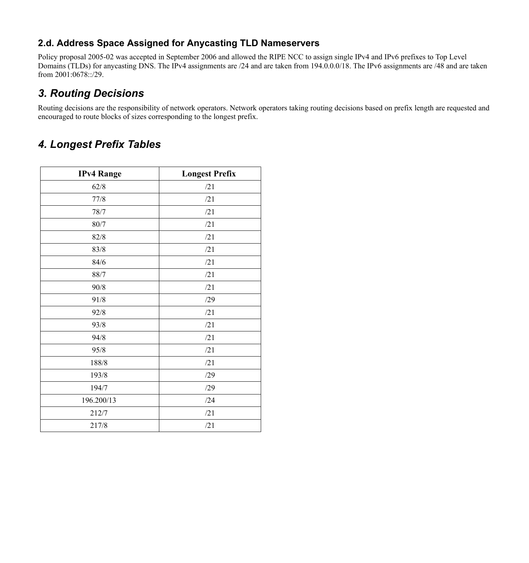#### **2.d. Address Space Assigned for Anycasting TLD Nameservers**

Policy proposal 2005-02 was accepted in September 2006 and allowed the RIPE NCC to assign single IPv4 and IPv6 prefixes to Top Level Domains (TLDs) for anycasting DNS. The IPv4 assignments are /24 and are taken from 194.0.0.0/18. The IPv6 assignments are /48 and are taken from 2001:0678::/29.

### *3. Routing Decisions*

Routing decisions are the responsibility of network operators. Network operators taking routing decisions based on prefix length are requested and encouraged to route blocks of sizes corresponding to the longest prefix.

## *4. Longest Prefix Tables*

| <b>IPv4 Range</b> | <b>Longest Prefix</b> |
|-------------------|-----------------------|
| 62/8              | /21                   |
| 77/8              | /21                   |
| 78/7              | /21                   |
| $80/7$            | /21                   |
| 82/8              | /21                   |
| 83/8              | /21                   |
| $84/6$            | /21                   |
| 88/7              | /21                   |
| 90/8              | /21                   |
| 91/8              | /29                   |
| 92/8              | /21                   |
| 93/8              | /21                   |
| 94/8              | /21                   |
| 95/8              | /21                   |
| 188/8             | /21                   |
| 193/8             | /29                   |
| 194/7             | /29                   |
| 196.200/13        | /24                   |
| 212/7             | /21                   |
| 217/8             | /21                   |